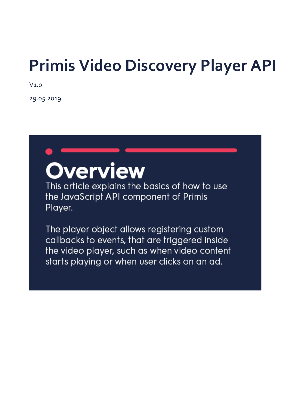## **Primis Video Discovery Player API**

V1.0

29.05.2019

# **Overview**

This article explains the basics of how to use the JavaScript API component of Primis Player.

The player object allows registering custom callbacks to events, that are triggered inside the video player, such as when video content starts playing or when user clicks on an ad.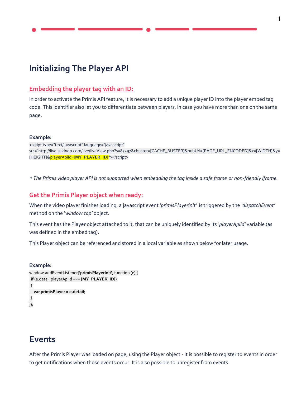## **Initializing The Player API**

#### **Embedding the player tag with an ID:**

In order to activate the Primis API feature, it is necessary to add a unique player ID into the player embed tag code. This identifier also let you to differentiate between players, in case you have more than one on the same page.

#### **Example:**

<script type="text/javascript" language="javascript" src="http://live.sekindo.com/live/liveView.php?s=87297&cbuster=[CACHE\_BUSTER]&pubUrl=[PAGE\_URL\_ENCODED]&x=[WIDTH]&y= [HEIGHT]&playerApiId=**[MY\_PLAYER\_ID]**"></script>

*\* The Primis video player API is not supported when embedding the tag inside a safe frame or non-friendly iframe.*

#### **Get the Primis Player object when ready:**

When the video player finishes loading, a javascript event *'primisPlayerInit'* is triggered by the *'dispatchEvent'*  method on the '*window.top'* object.

This event has the Player object attached to it, that can be uniquely identified by its *'playerApiId'* variable (as was defined in the embed tag).

This Player object can be referenced and stored in a local variable as shown below for later usage.

#### **Example:**

```
window.addEventListener('primisPlayerInit', function (e) {
 if (e.detail.playerApiId === [MY_PLAYER_ID])
  {
   var primisPlayer = e.detail;
 }
});
```
### **Events**

After the Primis Player was loaded on page, using the Player object - it is possible to register to events in order to get notifications when those events occur. It is also possible to unregister from events.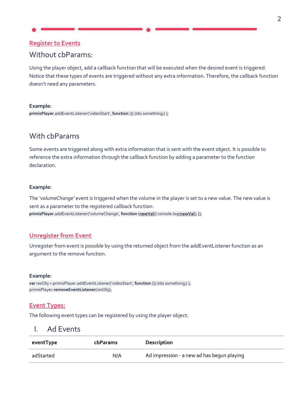#### **Register to Events**

#### Without cbParams:

Using the player object, add a callback function that will be executed when the desired event is triggered. Notice that these types of events are triggered without any extra information. Therefore, the callback function doesn't need any parameters.

#### **Example:**

**primisPlayer**.addEventListener('videoStart', **function** (){ //do something;} );

#### With cbParams

Some events are triggered along with extra information that is sent with the event object. It is possible to reference the extra information through the callback function by adding a parameter to the function declaration.

#### **Example:**

The *'volumeChange'* event is triggered when the volume in the player is set to a new value. The new value is sent as a parameter to the registered callback function: **primisPlayer**.addEventListener('volumeChange', **function** (**newVal**){ console.log(**newVal**); });

#### **Unregister from Event**

Unregister from event is possible by using the returned object from the addEventListener function as an argument to the remove function.

#### **Example:**

**var** resObj = primisPlayer.addEventListener('videoStart', **function** (){ //do something;} ); primisPlayer.**removeEventListener**(resObj);

#### **Event Types:**

The following event types can be registered by using the player object:

#### I. Ad Events

| eventType | cbParams | Description                                |
|-----------|----------|--------------------------------------------|
| adStarted | N/A      | Ad impression - a new ad has begun playing |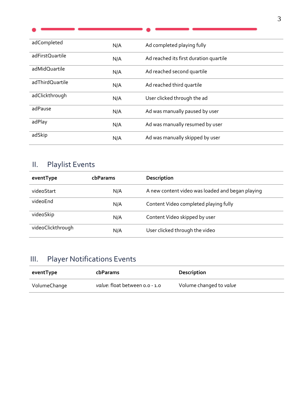| adCompleted     | N/A | Ad completed playing fully             |
|-----------------|-----|----------------------------------------|
| adFirstQuartile | N/A | Ad reached its first duration quartile |
| adMidQuartile   | N/A | Ad reached second quartile             |
| adThirdQuartile | N/A | Ad reached third quartile              |
| adClickthrough  | N/A | User clicked through the ad            |
| adPause         | N/A | Ad was manually paused by user         |
| adPlay          | N/A | Ad was manually resumed by user        |
| adSkip          | N/A | Ad was manually skipped by user        |

## II. Playlist Events

| eventType         | cbParams | Description                                      |  |
|-------------------|----------|--------------------------------------------------|--|
| videoStart        | N/A      | A new content video was loaded and began playing |  |
| videoEnd          | N/A      | Content Video completed playing fully            |  |
| videoSkip         | N/A      | Content Video skipped by user                    |  |
| videoClickthrough | N/A      | User clicked through the video                   |  |

## III. Player Notifications Events

| eventType    | <b>cbParams</b>                | Description             |
|--------------|--------------------------------|-------------------------|
| VolumeChange | value: float between 0.0 - 1.0 | Volume changed to value |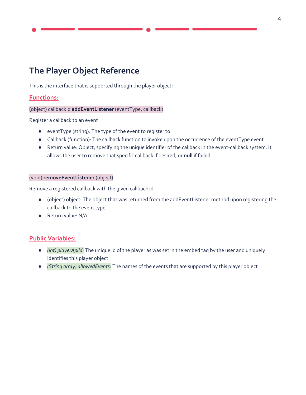## **The Player Object Reference**

This is the interface that is supported through the player object:

#### **Functions:**

#### (object) callbackId **addEventListener** (eventType, callback)

Register a callback to an event

- eventType (string): The type of the event to register to
- Callback (function): The callback function to invoke upon the occurrence of the eventType event
- Return value: Object, specifying the unique identifier of the callback in the event-callback system. It allows the user to remove that specific callback if desired, or **null** if failed

#### (void) **removeEventListener** (object)

Remove a registered callback with the given callback id

- (object) object: The object that was returned from the addEventListener method upon registering the callback to the event type
- Return value: N/A

#### **Public Variables:**

- *(int) playerApiId:* The unique id of the player as was set in the embed tag by the user and uniquely identifies this player object
- *(String array) allowedEvents:* The names of the events that are supported by this player object